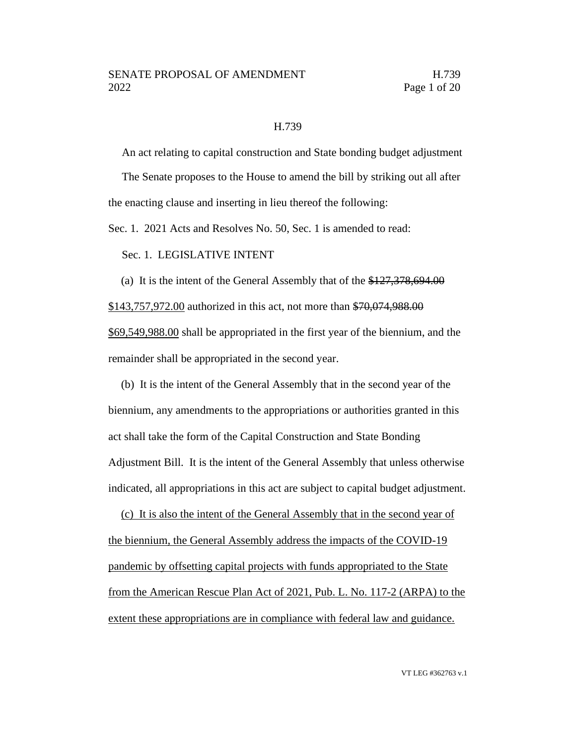#### H.739

An act relating to capital construction and State bonding budget adjustment

The Senate proposes to the House to amend the bill by striking out all after the enacting clause and inserting in lieu thereof the following:

Sec. 1. 2021 Acts and Resolves No. 50, Sec. 1 is amended to read:

Sec. 1. LEGISLATIVE INTENT

(a) It is the intent of the General Assembly that of the  $\frac{$127,378,694.00}{1}$ \$143,757,972.00 authorized in this act, not more than \$70,074,988.00 \$69,549,988.00 shall be appropriated in the first year of the biennium, and the remainder shall be appropriated in the second year.

(b) It is the intent of the General Assembly that in the second year of the biennium, any amendments to the appropriations or authorities granted in this act shall take the form of the Capital Construction and State Bonding Adjustment Bill. It is the intent of the General Assembly that unless otherwise indicated, all appropriations in this act are subject to capital budget adjustment.

(c) It is also the intent of the General Assembly that in the second year of the biennium, the General Assembly address the impacts of the COVID-19 pandemic by offsetting capital projects with funds appropriated to the State from the American Rescue Plan Act of 2021, Pub. L. No. 117-2 (ARPA) to the extent these appropriations are in compliance with federal law and guidance.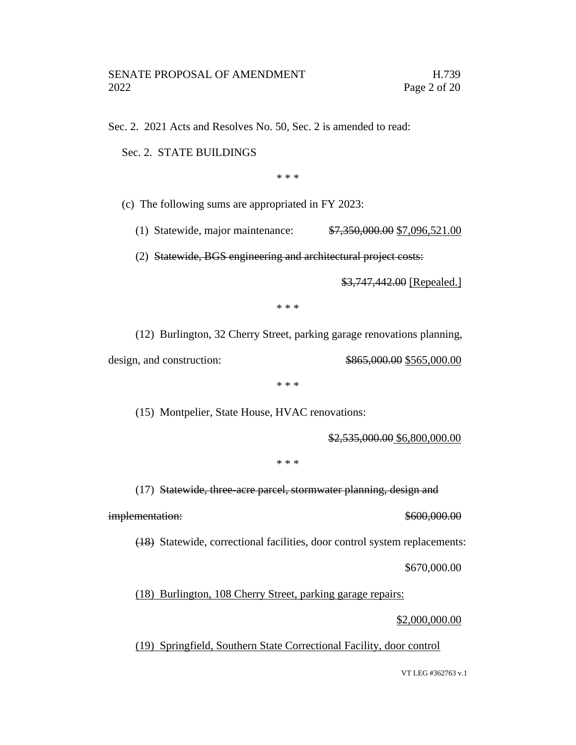Sec. 2. 2021 Acts and Resolves No. 50, Sec. 2 is amended to read:

Sec. 2. STATE BUILDINGS

\* \* \*

(c) The following sums are appropriated in FY 2023:

(1) Statewide, major maintenance: \$7,350,000.00 \$7,096,521.00

(2) Statewide, BGS engineering and architectural project costs:

\$3,747,442.00 [Repealed.]

\* \* \*

(12) Burlington, 32 Cherry Street, parking garage renovations planning,

design, and construction: \$865,000.00 \$565,000.00

\* \* \*

(15) Montpelier, State House, HVAC renovations:

\$2,535,000.00 \$6,800,000.00

\* \* \*

(17) Statewide, three-acre parcel, stormwater planning, design and

implementation:  $$600,000.00$ 

(18) Statewide, correctional facilities, door control system replacements:

\$670,000.00

(18) Burlington, 108 Cherry Street, parking garage repairs:

\$2,000,000.00

(19) Springfield, Southern State Correctional Facility, door control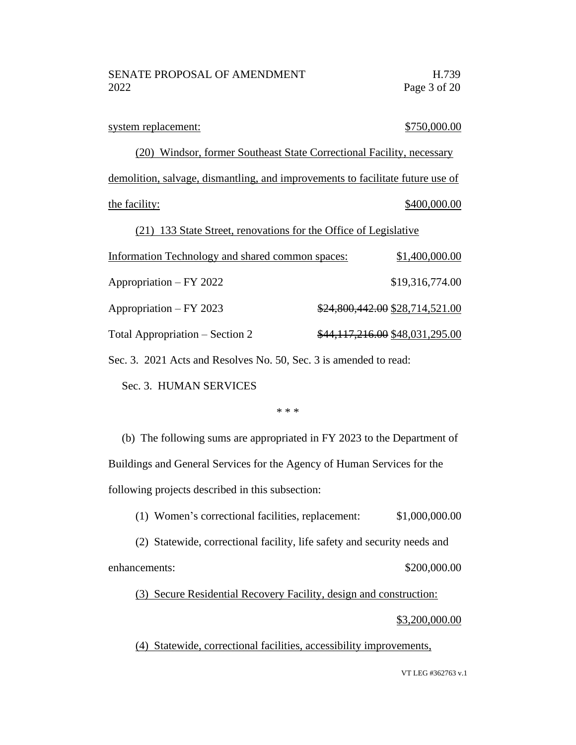| system replacement:                                                            | \$750,000.00                    |
|--------------------------------------------------------------------------------|---------------------------------|
| Windsor, former Southeast State Correctional Facility, necessary<br>(20)       |                                 |
| demolition, salvage, dismantling, and improvements to facilitate future use of |                                 |
| the facility:                                                                  | \$400,000.00                    |
| 133 State Street, renovations for the Office of Legislative<br>(21)            |                                 |
| Information Technology and shared common spaces:                               | \$1,400,000.00                  |
| Appropriation – FY 2022                                                        | \$19,316,774.00                 |
| Appropriation – FY 2023                                                        | \$24,800,442.00 \$28,714,521.00 |
| Total Appropriation – Section 2                                                | \$44,117,216.00 \$48,031,295.00 |
|                                                                                |                                 |

Sec. 3. 2021 Acts and Resolves No. 50, Sec. 3 is amended to read:

Sec. 3. HUMAN SERVICES

#### \* \* \*

(b) The following sums are appropriated in FY 2023 to the Department of Buildings and General Services for the Agency of Human Services for the following projects described in this subsection:

(1) Women's correctional facilities, replacement: \$1,000,000.00

(2) Statewide, correctional facility, life safety and security needs and enhancements: \$200,000.00

(3) Secure Residential Recovery Facility, design and construction:

### \$3,200,000.00

(4) Statewide, correctional facilities, accessibility improvements,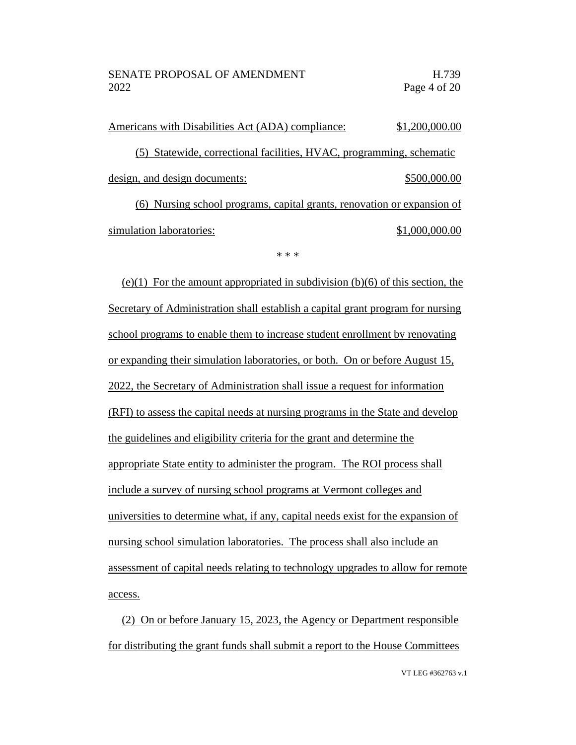Americans with Disabilities Act (ADA) compliance: \$1,200,000.00 (5) Statewide, correctional facilities, HVAC, programming, schematic design, and design documents:  $$500,000.00$ (6) Nursing school programs, capital grants, renovation or expansion of simulation laboratories:  $\qquad \qquad$  \$1,000,000.00

\* \* \*

 $(e)(1)$  For the amount appropriated in subdivision  $(b)(6)$  of this section, the Secretary of Administration shall establish a capital grant program for nursing school programs to enable them to increase student enrollment by renovating or expanding their simulation laboratories, or both. On or before August 15, 2022, the Secretary of Administration shall issue a request for information (RFI) to assess the capital needs at nursing programs in the State and develop the guidelines and eligibility criteria for the grant and determine the appropriate State entity to administer the program. The ROI process shall include a survey of nursing school programs at Vermont colleges and universities to determine what, if any, capital needs exist for the expansion of nursing school simulation laboratories. The process shall also include an assessment of capital needs relating to technology upgrades to allow for remote access.

(2) On or before January 15, 2023, the Agency or Department responsible for distributing the grant funds shall submit a report to the House Committees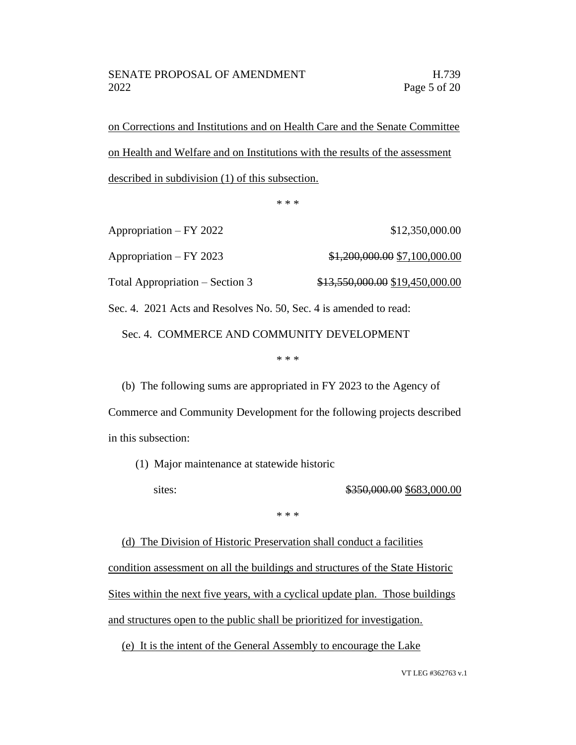on Corrections and Institutions and on Health Care and the Senate Committee on Health and Welfare and on Institutions with the results of the assessment described in subdivision (1) of this subsection.

\* \* \*

Appropriation – FY 2022 \$12,350,000.00 Appropriation – FY 2023  $\frac{$1,200,000.00}{$7,100,000.00}$ Total Appropriation – Section 3  $\frac{$13,550,000.00}{$13,550,000.00}$ 

Sec. 4. 2021 Acts and Resolves No. 50, Sec. 4 is amended to read:

Sec. 4. COMMERCE AND COMMUNITY DEVELOPMENT

\* \* \*

(b) The following sums are appropriated in FY 2023 to the Agency of Commerce and Community Development for the following projects described in this subsection:

(1) Major maintenance at statewide historic

sites: \$350,000.00 \$683,000.00

\* \* \*

(d) The Division of Historic Preservation shall conduct a facilities condition assessment on all the buildings and structures of the State Historic Sites within the next five years, with a cyclical update plan. Those buildings and structures open to the public shall be prioritized for investigation.

(e) It is the intent of the General Assembly to encourage the Lake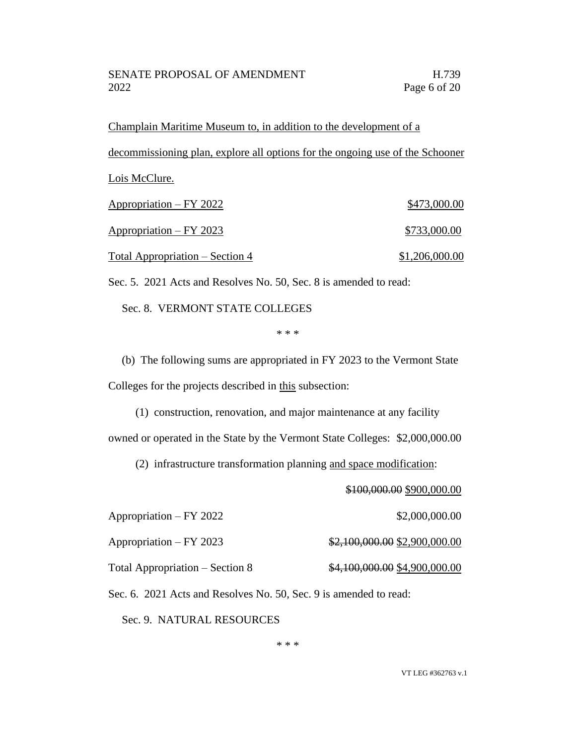Champlain Maritime Museum to, in addition to the development of a decommissioning plan, explore all options for the ongoing use of the Schooner Lois McClure. Appropriation – FY 2022 \$473,000.00 Appropriation – FY 2023 \$733,000.00 Total Appropriation – Section 4  $$1,206,000.00$ 

Sec. 5. 2021 Acts and Resolves No. 50, Sec. 8 is amended to read:

Sec. 8. VERMONT STATE COLLEGES

\* \* \*

(b) The following sums are appropriated in FY 2023 to the Vermont State Colleges for the projects described in this subsection:

(1) construction, renovation, and major maintenance at any facility owned or operated in the State by the Vermont State Colleges: \$2,000,000.00

(2) infrastructure transformation planning and space modification:

\$100,000.00 \$900,000.00

Appropriation – FY 2022 \$2,000,000.00 Appropriation – FY 2023  $$2,100,000.00$  \$2,900,000.00

Total Appropriation – Section 8  $$4,100,000.00$  \$4,900,000.00

Sec. 6. 2021 Acts and Resolves No. 50, Sec. 9 is amended to read:

Sec. 9. NATURAL RESOURCES

\* \* \*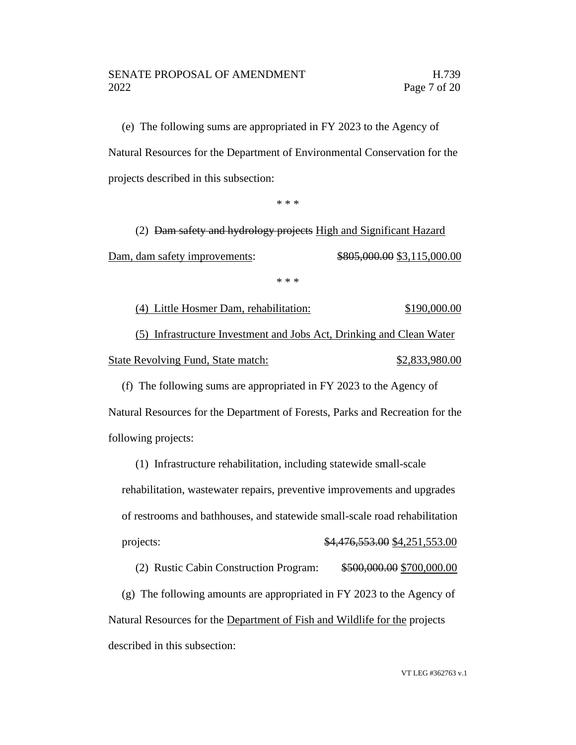### SENATE PROPOSAL OF AMENDMENT FOR THE H.739 2022 Page 7 of 20

(e) The following sums are appropriated in FY 2023 to the Agency of Natural Resources for the Department of Environmental Conservation for the projects described in this subsection:

\* \* \*

(2) Dam safety and hydrology projects High and Significant Hazard Dam, dam safety improvements:  $\frac{$805,000.00}{$3,115,000.00}$ 

\* \* \*

(4) Little Hosmer Dam, rehabilitation: \$190,000.00 (5) Infrastructure Investment and Jobs Act, Drinking and Clean Water State Revolving Fund, State match:  $$2,833,980.00$ 

(f) The following sums are appropriated in FY 2023 to the Agency of Natural Resources for the Department of Forests, Parks and Recreation for the following projects:

(1) Infrastructure rehabilitation, including statewide small-scale rehabilitation, wastewater repairs, preventive improvements and upgrades of restrooms and bathhouses, and statewide small-scale road rehabilitation projects: \$4,476,553.00 \$4,251,553.00

(2) Rustic Cabin Construction Program: \$500,000.00 \$700,000.00

(g) The following amounts are appropriated in FY 2023 to the Agency of Natural Resources for the Department of Fish and Wildlife for the projects described in this subsection: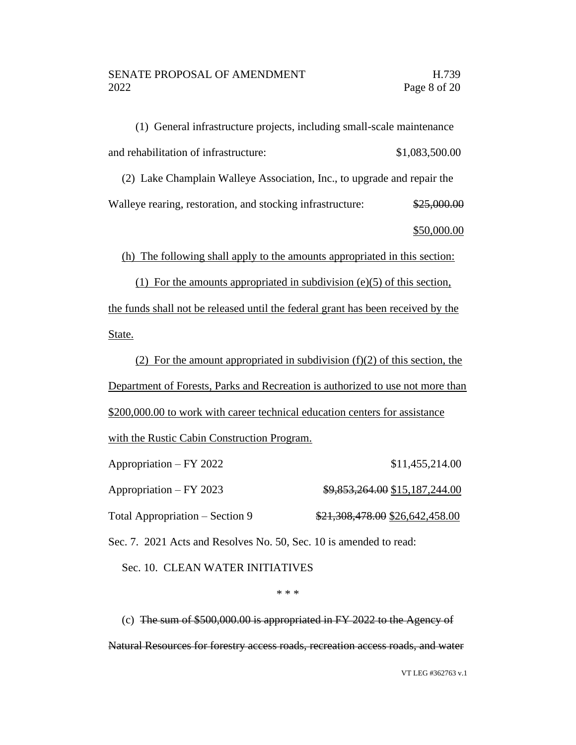(1) General infrastructure projects, including small-scale maintenance and rehabilitation of infrastructure:  $$1,083,500.00$ 

(2) Lake Champlain Walleye Association, Inc., to upgrade and repair the

Walleye rearing, restoration, and stocking infrastructure: \$25,000.00

\$50,000.00

(h) The following shall apply to the amounts appropriated in this section:

(1) For the amounts appropriated in subdivision (e)(5) of this section, the funds shall not be released until the federal grant has been received by the State.

(2) For the amount appropriated in subdivision  $(f)(2)$  of this section, the Department of Forests, Parks and Recreation is authorized to use not more than \$200,000.00 to work with career technical education centers for assistance

with the Rustic Cabin Construction Program.

| Appropriation – FY 2022         | \$11,455,214.00                 |
|---------------------------------|---------------------------------|
| Appropriation – FY 2023         | \$9,853,264.00 \$15,187,244.00  |
| Total Appropriation – Section 9 | \$21,308,478.00 \$26,642,458.00 |

Sec. 7. 2021 Acts and Resolves No. 50, Sec. 10 is amended to read:

Sec. 10. CLEAN WATER INITIATIVES

\* \* \*

(c) The sum of \$500,000.00 is appropriated in FY 2022 to the Agency of Natural Resources for forestry access roads, recreation access roads, and water

VT LEG #362763 v.1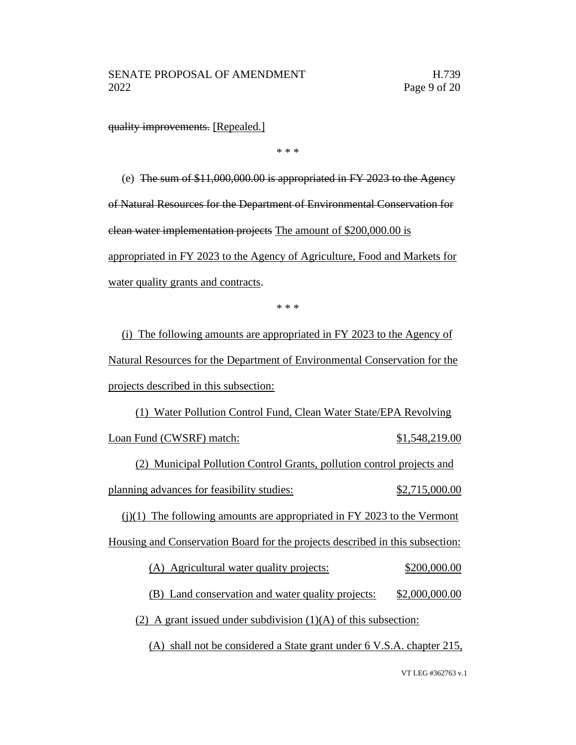quality improvements. [Repealed.]

\* \* \*

(e) The sum of \$11,000,000.00 is appropriated in FY 2023 to the Agency of Natural Resources for the Department of Environmental Conservation for clean water implementation projects The amount of \$200,000.00 is appropriated in FY 2023 to the Agency of Agriculture, Food and Markets for

water quality grants and contracts.

\* \* \*

(i) The following amounts are appropriated in FY 2023 to the Agency of Natural Resources for the Department of Environmental Conservation for the projects described in this subsection:

(1) Water Pollution Control Fund, Clean Water State/EPA Revolving Loan Fund (CWSRF) match: \$1,548,219.00

(2) Municipal Pollution Control Grants, pollution control projects and planning advances for feasibility studies:  $$2,715,000.00$ 

 $(j)(1)$  The following amounts are appropriated in FY 2023 to the Vermont Housing and Conservation Board for the projects described in this subsection:

(A) Agricultural water quality projects: \$200,000.00

(B) Land conservation and water quality projects: \$2,000,000.00

(2) A grant issued under subdivision  $(1)(A)$  of this subsection:

(A) shall not be considered a State grant under 6 V.S.A. chapter 215,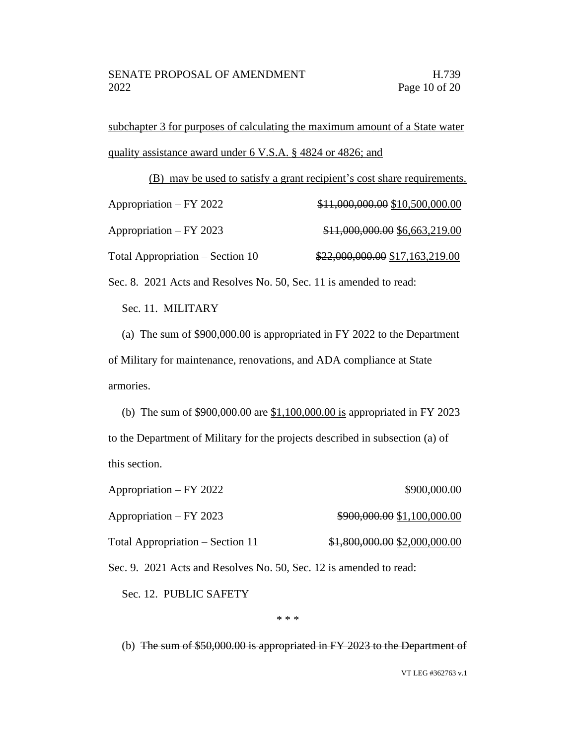subchapter 3 for purposes of calculating the maximum amount of a State water quality assistance award under 6 V.S.A. § 4824 or 4826; and

|                                  | (B) may be used to satisfy a grant recipient's cost share requirements. |
|----------------------------------|-------------------------------------------------------------------------|
| Appropriation – FY 2022          | \$11,000,000.00 \$10,500,000.00                                         |
| Appropriation – FY 2023          | \$11,000,000.00 \$6,663,219.00                                          |
| Total Appropriation – Section 10 | \$22,000,000.00 \$17,163,219.00                                         |

Sec. 8. 2021 Acts and Resolves No. 50, Sec. 11 is amended to read:

Sec. 11. MILITARY

(a) The sum of \$900,000.00 is appropriated in FY 2022 to the Department of Military for maintenance, renovations, and ADA compliance at State armories.

(b) The sum of \$900,000.00 are \$1,100,000.00 is appropriated in FY 2023 to the Department of Military for the projects described in subsection (a) of this section.

Appropriation – FY 2022 \$900,000.00 Appropriation – FY 2023  $\frac{$900,000.00}{1,100,000.00}$ Total Appropriation – Section 11  $$1,800,000.00 \frac{$2,000,000.00}{2}$ 

Sec. 9. 2021 Acts and Resolves No. 50, Sec. 12 is amended to read:

Sec. 12. PUBLIC SAFETY

\* \* \*

(b) The sum of \$50,000.00 is appropriated in FY 2023 to the Department of

VT LEG #362763 v.1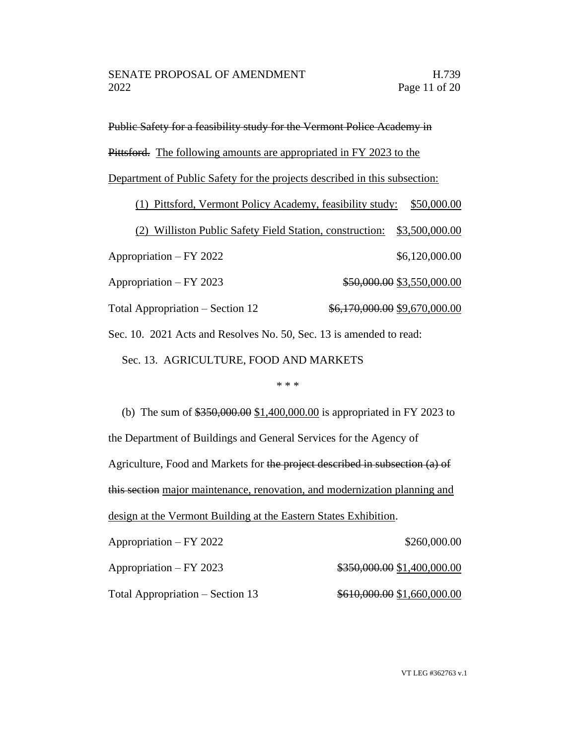Public Safety for a feasibility study for the Vermont Police Academy in

Pittsford. The following amounts are appropriated in FY 2023 to the

Department of Public Safety for the projects described in this subsection:

(1) Pittsford, Vermont Policy Academy, feasibility study: \$50,000.00

(2) Williston Public Safety Field Station, construction: \$3,500,000.00

Appropriation – FY 2022 \$6,120,000.00

Appropriation – FY 2023  $$50,000.00$  \$3,550,000.00

Total Appropriation – Section 12  $\frac{$6,170,000.00}{$6,170,000.00}$ 

Sec. 10. 2021 Acts and Resolves No. 50, Sec. 13 is amended to read:

Sec. 13. AGRICULTURE, FOOD AND MARKETS

\* \* \*

(b) The sum of \$350,000.00 \$1,400,000.00 is appropriated in FY 2023 to the Department of Buildings and General Services for the Agency of Agriculture, Food and Markets for the project described in subsection (a) of this section major maintenance, renovation, and modernization planning and design at the Vermont Building at the Eastern States Exhibition.

Appropriation – FY 2022 \$260,000.00

Appropriation – FY 2023  $\qquad\qquad$  \$350,000.00 \$1,400,000.00

Total Appropriation – Section 13  $$610,000.00 $1,660,000.00$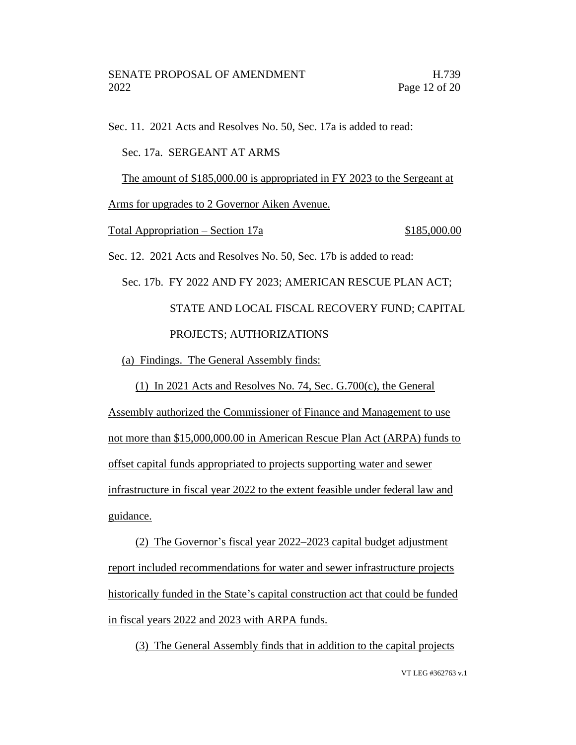Sec. 11. 2021 Acts and Resolves No. 50, Sec. 17a is added to read: Sec. 17a. SERGEANT AT ARMS The amount of \$185,000.00 is appropriated in FY 2023 to the Sergeant at Arms for upgrades to 2 Governor Aiken Avenue. Total Appropriation – Section 17a  $$185,000.00$ Sec. 12. 2021 Acts and Resolves No. 50, Sec. 17b is added to read: Sec. 17b. FY 2022 AND FY 2023; AMERICAN RESCUE PLAN ACT; STATE AND LOCAL FISCAL RECOVERY FUND; CAPITAL PROJECTS; AUTHORIZATIONS (a) Findings. The General Assembly finds: (1) In 2021 Acts and Resolves No. 74, Sec. G.700(c), the General Assembly authorized the Commissioner of Finance and Management to use

not more than \$15,000,000.00 in American Rescue Plan Act (ARPA) funds to offset capital funds appropriated to projects supporting water and sewer infrastructure in fiscal year 2022 to the extent feasible under federal law and guidance.

(2) The Governor's fiscal year 2022–2023 capital budget adjustment report included recommendations for water and sewer infrastructure projects historically funded in the State's capital construction act that could be funded in fiscal years 2022 and 2023 with ARPA funds.

(3) The General Assembly finds that in addition to the capital projects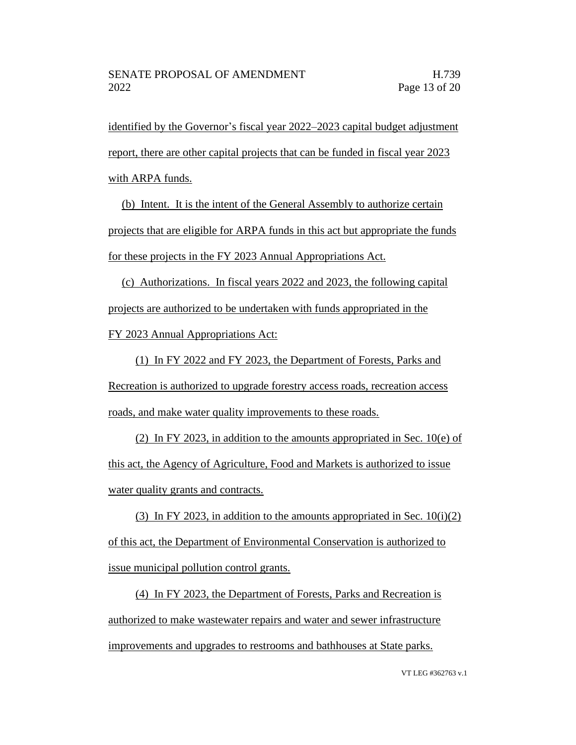identified by the Governor's fiscal year 2022–2023 capital budget adjustment report, there are other capital projects that can be funded in fiscal year 2023 with ARPA funds.

(b) Intent. It is the intent of the General Assembly to authorize certain projects that are eligible for ARPA funds in this act but appropriate the funds for these projects in the FY 2023 Annual Appropriations Act.

(c) Authorizations. In fiscal years 2022 and 2023, the following capital projects are authorized to be undertaken with funds appropriated in the FY 2023 Annual Appropriations Act:

(1) In FY 2022 and FY 2023, the Department of Forests, Parks and Recreation is authorized to upgrade forestry access roads, recreation access roads, and make water quality improvements to these roads.

(2) In FY 2023, in addition to the amounts appropriated in Sec. 10(e) of this act, the Agency of Agriculture, Food and Markets is authorized to issue water quality grants and contracts.

(3) In FY 2023, in addition to the amounts appropriated in Sec.  $10(i)(2)$ of this act, the Department of Environmental Conservation is authorized to issue municipal pollution control grants.

(4) In FY 2023, the Department of Forests, Parks and Recreation is authorized to make wastewater repairs and water and sewer infrastructure improvements and upgrades to restrooms and bathhouses at State parks.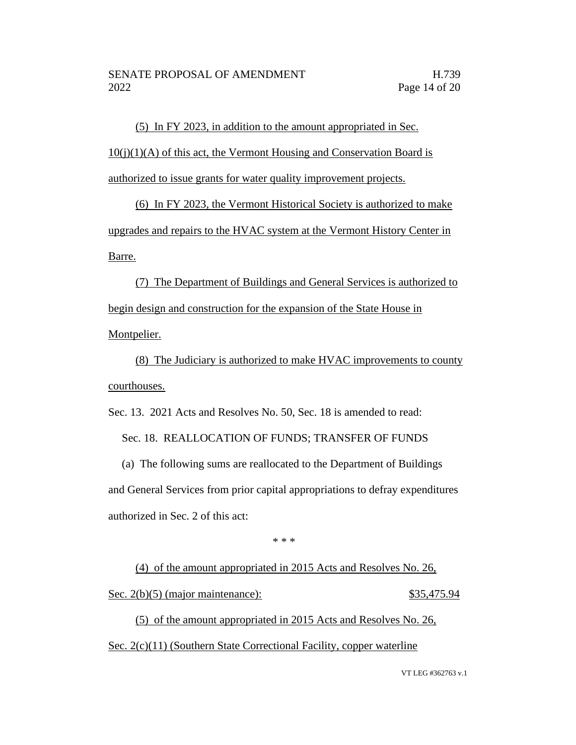(5) In FY 2023, in addition to the amount appropriated in Sec.  $10(i)(1)(A)$  of this act, the Vermont Housing and Conservation Board is authorized to issue grants for water quality improvement projects.

(6) In FY 2023, the Vermont Historical Society is authorized to make upgrades and repairs to the HVAC system at the Vermont History Center in Barre.

(7) The Department of Buildings and General Services is authorized to begin design and construction for the expansion of the State House in Montpelier.

(8) The Judiciary is authorized to make HVAC improvements to county courthouses.

Sec. 13. 2021 Acts and Resolves No. 50, Sec. 18 is amended to read:

Sec. 18. REALLOCATION OF FUNDS; TRANSFER OF FUNDS

(a) The following sums are reallocated to the Department of Buildings and General Services from prior capital appropriations to defray expenditures authorized in Sec. 2 of this act:

\* \* \*

(4) of the amount appropriated in 2015 Acts and Resolves No. 26, Sec. 2(b)(5) (major maintenance):  $$35,475.94$ 

(5) of the amount appropriated in 2015 Acts and Resolves No. 26, Sec. 2(c)(11) (Southern State Correctional Facility, copper waterline

VT LEG #362763 v.1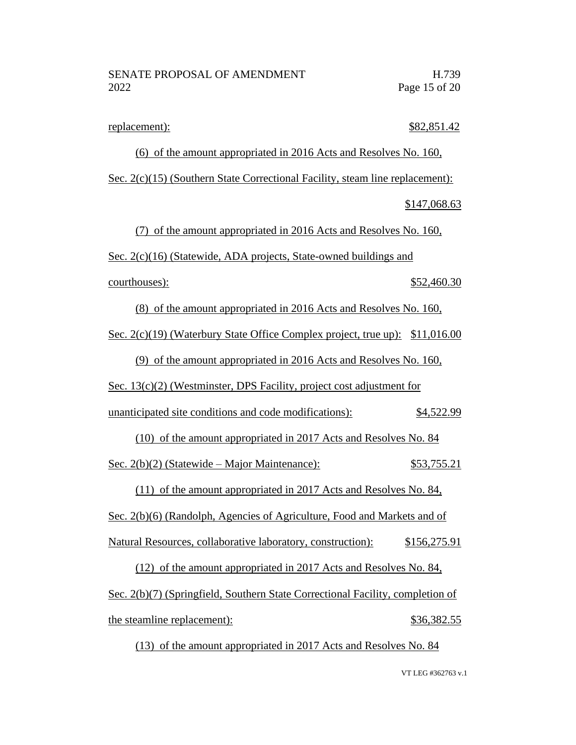replacement):  $$82,851.42$ 

(6) of the amount appropriated in 2016 Acts and Resolves No. 160, Sec. 2(c)(15) (Southern State Correctional Facility, steam line replacement): \$147,068.63 (7) of the amount appropriated in 2016 Acts and Resolves No. 160, Sec. 2(c)(16) (Statewide, ADA projects, State-owned buildings and courthouses): \$52,460.30 (8) of the amount appropriated in 2016 Acts and Resolves No. 160, Sec. 2(c)(19) (Waterbury State Office Complex project, true up): \$11,016.00 (9) of the amount appropriated in 2016 Acts and Resolves No. 160, Sec. 13(c)(2) (Westminster, DPS Facility, project cost adjustment for unanticipated site conditions and code modifications): \$4,522.99 (10) of the amount appropriated in 2017 Acts and Resolves No. 84 Sec. 2(b)(2) (Statewide – Major Maintenance): \$53,755.21 (11) of the amount appropriated in 2017 Acts and Resolves No. 84,

Sec. 2(b)(6) (Randolph, Agencies of Agriculture, Food and Markets and of

Natural Resources, collaborative laboratory, construction): \$156,275.91

(12) of the amount appropriated in 2017 Acts and Resolves No. 84, Sec. 2(b)(7) (Springfield, Southern State Correctional Facility, completion of the steamline replacement):  $$36,382.55$ 

(13) of the amount appropriated in 2017 Acts and Resolves No. 84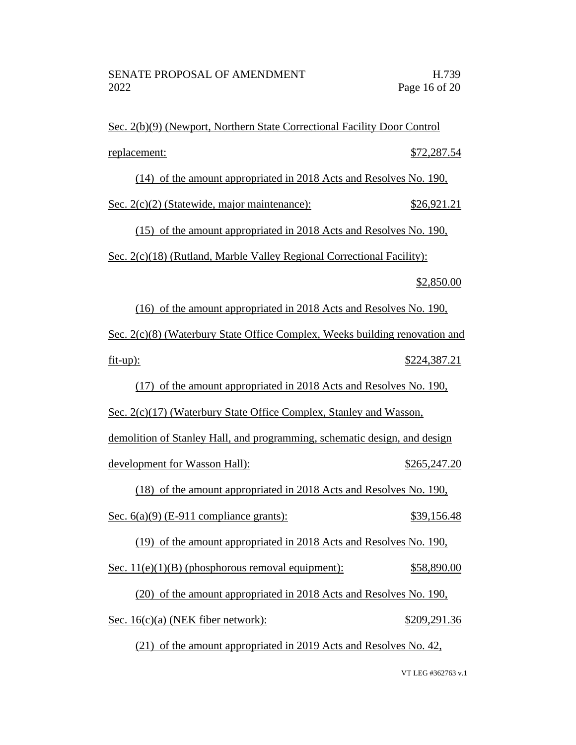Sec. 2(b)(9) (Newport, Northern State Correctional Facility Door Control replacement: \$72,287.54

(14) of the amount appropriated in 2018 Acts and Resolves No. 190,

Sec. 2(c)(2) (Statewide, major maintenance): \$26,921.21

(15) of the amount appropriated in 2018 Acts and Resolves No. 190,

Sec. 2(c)(18) (Rutland, Marble Valley Regional Correctional Facility):

## \$2,850.00

(16) of the amount appropriated in 2018 Acts and Resolves No. 190, Sec. 2(c)(8) (Waterbury State Office Complex, Weeks building renovation and fit-up): \$224,387.21

(17) of the amount appropriated in 2018 Acts and Resolves No. 190,

Sec. 2(c)(17) (Waterbury State Office Complex, Stanley and Wasson, demolition of Stanley Hall, and programming, schematic design, and design development for Wasson Hall):  $$265,247.20$ 

(18) of the amount appropriated in 2018 Acts and Resolves No. 190,

Sec. 6(a)(9) (E-911 compliance grants): \$39,156.48

(19) of the amount appropriated in 2018 Acts and Resolves No. 190,

Sec.  $11(e)(1)(B)$  (phosphorous removal equipment):  $$58,890.00$ 

(20) of the amount appropriated in 2018 Acts and Resolves No. 190, Sec. 16(c)(a) (NEK fiber network): \$209,291.36

(21) of the amount appropriated in 2019 Acts and Resolves No. 42,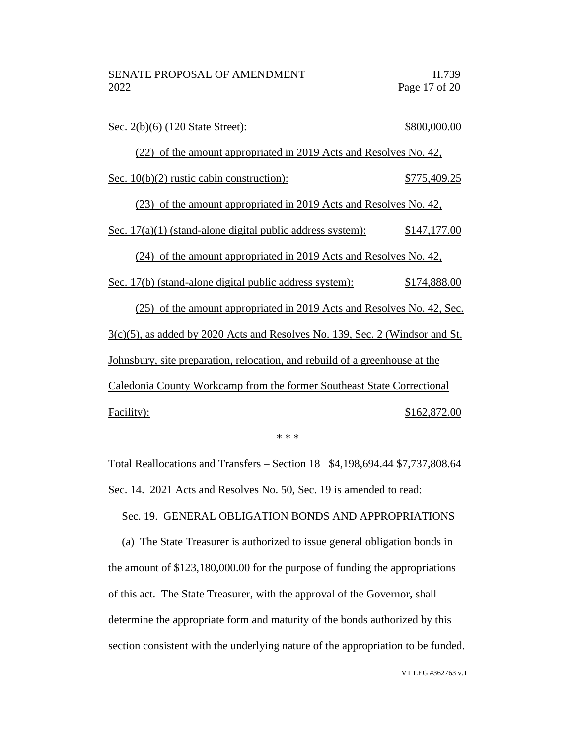| Sec. 2(b)(6) (120 State Street):                                                | \$800,000.00 |
|---------------------------------------------------------------------------------|--------------|
| (22) of the amount appropriated in 2019 Acts and Resolves No. 42,               |              |
| Sec. $10(b)(2)$ rustic cabin construction):                                     | \$775,409.25 |
| (23) of the amount appropriated in 2019 Acts and Resolves No. 42,               |              |
| Sec. $17(a)(1)$ (stand-alone digital public address system):                    | \$147,177.00 |
| (24) of the amount appropriated in 2019 Acts and Resolves No. 42,               |              |
| Sec. 17(b) (stand-alone digital public address system):                         | \$174,888.00 |
| (25) of the amount appropriated in 2019 Acts and Resolves No. 42, Sec.          |              |
| $3(c)(5)$ , as added by 2020 Acts and Resolves No. 139, Sec. 2 (Windsor and St. |              |
| Johnsbury, site preparation, relocation, and rebuild of a greenhouse at the     |              |
| Caledonia County Workcamp from the former Southeast State Correctional          |              |
| Facility):                                                                      | \$162,872.00 |

\* \* \*

Total Reallocations and Transfers – Section 18 \$4,198,694.44 \$7,737,808.64 Sec. 14. 2021 Acts and Resolves No. 50, Sec. 19 is amended to read:

Sec. 19. GENERAL OBLIGATION BONDS AND APPROPRIATIONS

(a) The State Treasurer is authorized to issue general obligation bonds in the amount of \$123,180,000.00 for the purpose of funding the appropriations of this act. The State Treasurer, with the approval of the Governor, shall determine the appropriate form and maturity of the bonds authorized by this section consistent with the underlying nature of the appropriation to be funded.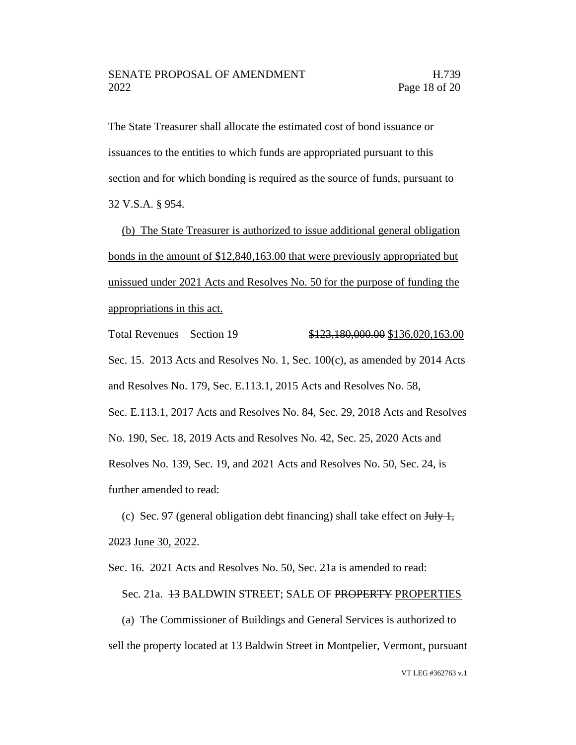The State Treasurer shall allocate the estimated cost of bond issuance or issuances to the entities to which funds are appropriated pursuant to this section and for which bonding is required as the source of funds, pursuant to 32 V.S.A. § 954.

(b) The State Treasurer is authorized to issue additional general obligation bonds in the amount of \$12,840,163.00 that were previously appropriated but unissued under 2021 Acts and Resolves No. 50 for the purpose of funding the appropriations in this act.

Total Revenues – Section 19 \$123,180,000.00 \$136,020,163.00 Sec. 15. 2013 Acts and Resolves No. 1, Sec. 100(c), as amended by 2014 Acts and Resolves No. 179, Sec. E.113.1, 2015 Acts and Resolves No. 58, Sec. E.113.1, 2017 Acts and Resolves No. 84, Sec. 29, 2018 Acts and Resolves No. 190, Sec. 18, 2019 Acts and Resolves No. 42, Sec. 25, 2020 Acts and Resolves No. 139, Sec. 19, and 2021 Acts and Resolves No. 50, Sec. 24, is further amended to read:

(c) Sec. 97 (general obligation debt financing) shall take effect on  $\frac{\text{July } 1,}{\text{July } 1}$ 2023 June 30, 2022.

Sec. 16. 2021 Acts and Resolves No. 50, Sec. 21a is amended to read:

Sec. 21a. 43 BALDWIN STREET; SALE OF PROPERTY PROPERTIES

(a) The Commissioner of Buildings and General Services is authorized to sell the property located at 13 Baldwin Street in Montpelier, Vermont, pursuant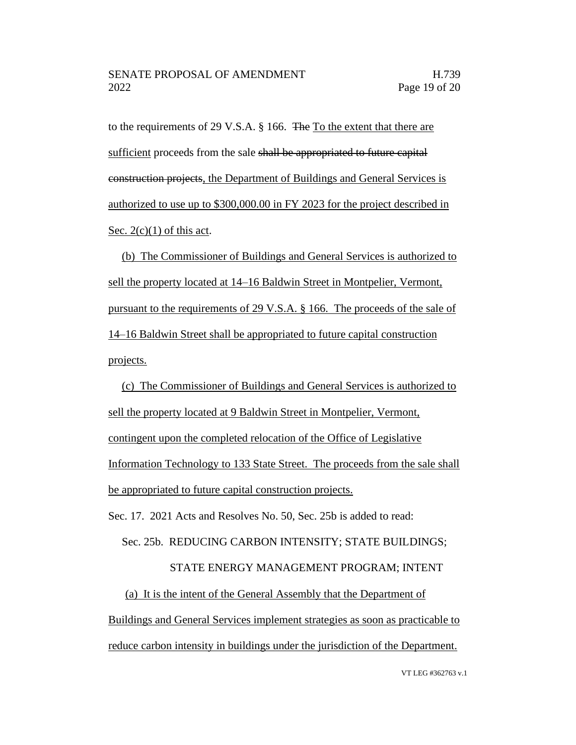to the requirements of 29 V.S.A. § 166. The To the extent that there are sufficient proceeds from the sale shall be appropriated to future capital construction projects, the Department of Buildings and General Services is authorized to use up to \$300,000.00 in FY 2023 for the project described in Sec.  $2(c)(1)$  of this act.

(b) The Commissioner of Buildings and General Services is authorized to sell the property located at 14–16 Baldwin Street in Montpelier, Vermont, pursuant to the requirements of 29 V.S.A. § 166. The proceeds of the sale of 14–16 Baldwin Street shall be appropriated to future capital construction projects.

(c) The Commissioner of Buildings and General Services is authorized to sell the property located at 9 Baldwin Street in Montpelier, Vermont, contingent upon the completed relocation of the Office of Legislative Information Technology to 133 State Street. The proceeds from the sale shall be appropriated to future capital construction projects.

Sec. 17. 2021 Acts and Resolves No. 50, Sec. 25b is added to read:

Sec. 25b. REDUCING CARBON INTENSITY; STATE BUILDINGS;

# STATE ENERGY MANAGEMENT PROGRAM; INTENT

(a) It is the intent of the General Assembly that the Department of Buildings and General Services implement strategies as soon as practicable to reduce carbon intensity in buildings under the jurisdiction of the Department.